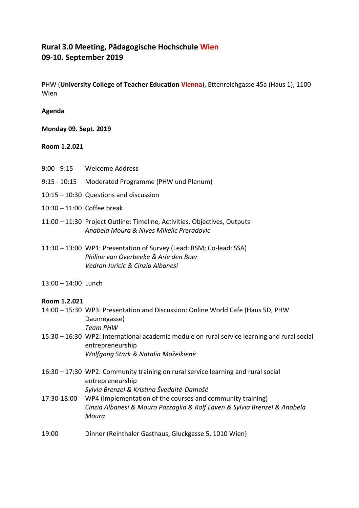# **Rural 3.0 Meeting, Pädagogische Hochschule Wien 09-10. September 2019**

PHW (**University College of Teacher Education Vienna**), Ettenreichgasse 45a (Haus 1), 1100 Wien

# **Agenda**

**Monday 09. Sept. 2019**

## **Room 1.2.021**

- 9:00 9:15 Welcome Address
- 9:15 10:15 Moderated Programme (PHW und Plenum)
- 10:15 10:30 Questions and discussion
- 10:30 11:00 Coffee break
- 11:00 11:30 Project Outline: Timeline, Activities, Objectives, Outputs *Anabela Moura & Nives Mikelic Preradovic*
- 11:30 13:00 WP1: Presentation of Survey (Lead: RSM; Co-lead: SSA) *Philine van Overbeeke & Arie den Boer Vedran Juricic & Cinzia Albanesi*
- 13:00 14:00 Lunch

## **Room 1.2.021**

- 14:00 15:30 WP3: Presentation and Discussion: Online World Cafe (Haus 5D, PHW Daumegasse) *Team PHW*
- 15:30 16:30 WP2: International academic module on rural service learning and rural social entrepreneurship *Wolfgang Stark & Natalia Mažeikienė*
- 16:30 17:30 WP2: Community training on rural service learning and rural social entrepreneurship *Sylvia Brenzel & Kristina Švedaitė-Damašė*
- 17:30-18:00 WP4 (Implementation of the courses and community training) *Cinzia Albanesi & Mauro Pazzaglia & Rolf Laven & Sylvia Brenzel & Anabela Moura*
- 19:00 Dinner (Reinthaler Gasthaus, Gluckgasse 5, 1010 Wien)